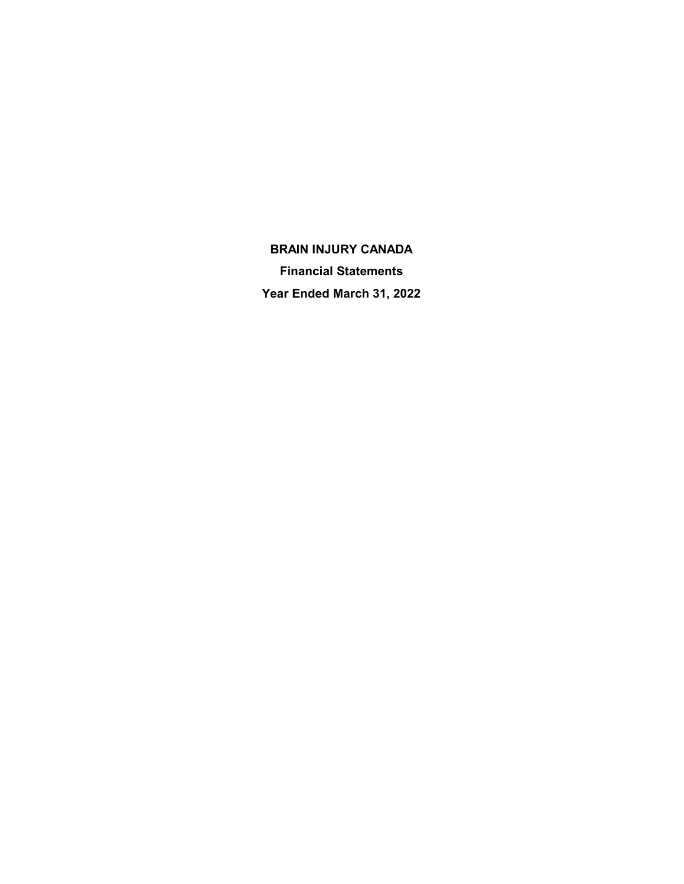**BRAIN INJURY CANADA Financial Statements Year Ended March 31, 2022**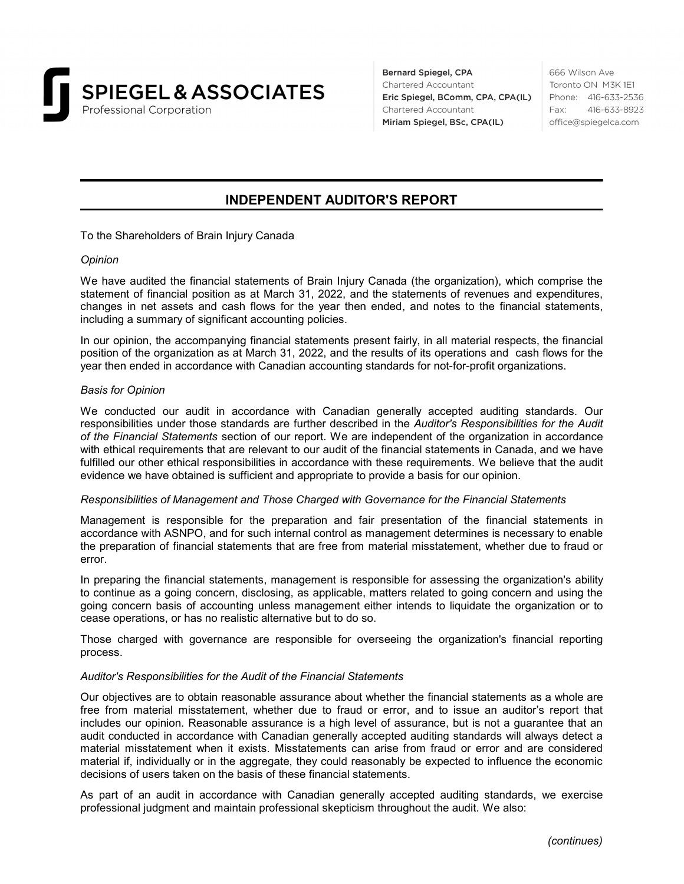

**Bernard Spiegel, CPA** Chartered Accountant Eric Spiegel, BComm, CPA, CPA(IL) Chartered Accountant Miriam Spiegel, BSc, CPA(IL)

666 Wilson Ave Toronto ON M3K 1E1 Phone: 416-633-2536 Fax: 416-633-8923 office@spiegelca.com

# **INDEPENDENT AUDITOR'S REPORT**

To the Shareholders of Brain Injury Canada

### *Opinion*

We have audited the financial statements of Brain Injury Canada (the organization), which comprise the statement of financial position as at March 31, 2022, and the statements of revenues and expenditures, changes in net assets and cash flows for the year then ended, and notes to the financial statements, including a summary of significant accounting policies.

In our opinion, the accompanying financial statements present fairly, in all material respects, the financial position of the organization as at March 31, 2022, and the results of its operations and cash flows for the year then ended in accordance with Canadian accounting standards for not-for-profit organizations.

### *Basis for Opinion*

We conducted our audit in accordance with Canadian generally accepted auditing standards. Our responsibilities under those standards are further described in the *Auditor's Responsibilities for the Audit of the Financial Statements* section of our report. We are independent of the organization in accordance with ethical requirements that are relevant to our audit of the financial statements in Canada, and we have fulfilled our other ethical responsibilities in accordance with these requirements. We believe that the audit evidence we have obtained is sufficient and appropriate to provide a basis for our opinion.

### *Responsibilities of Management and Those Charged with Governance for the Financial Statements*

Management is responsible for the preparation and fair presentation of the financial statements in accordance with ASNPO, and for such internal control as management determines is necessary to enable the preparation of financial statements that are free from material misstatement, whether due to fraud or error.

In preparing the financial statements, management is responsible for assessing the organization's ability to continue as a going concern, disclosing, as applicable, matters related to going concern and using the going concern basis of accounting unless management either intends to liquidate the organization or to cease operations, or has no realistic alternative but to do so.

Those charged with governance are responsible for overseeing the organization's financial reporting process.

### *Auditor's Responsibilities for the Audit of the Financial Statements*

Our objectives are to obtain reasonable assurance about whether the financial statements as a whole are free from material misstatement, whether due to fraud or error, and to issue an auditor's report that includes our opinion. Reasonable assurance is a high level of assurance, but is not a guarantee that an audit conducted in accordance with Canadian generally accepted auditing standards will always detect a material misstatement when it exists. Misstatements can arise from fraud or error and are considered material if, individually or in the aggregate, they could reasonably be expected to influence the economic decisions of users taken on the basis of these financial statements.

As part of an audit in accordance with Canadian generally accepted auditing standards, we exercise professional judgment and maintain professional skepticism throughout the audit. We also: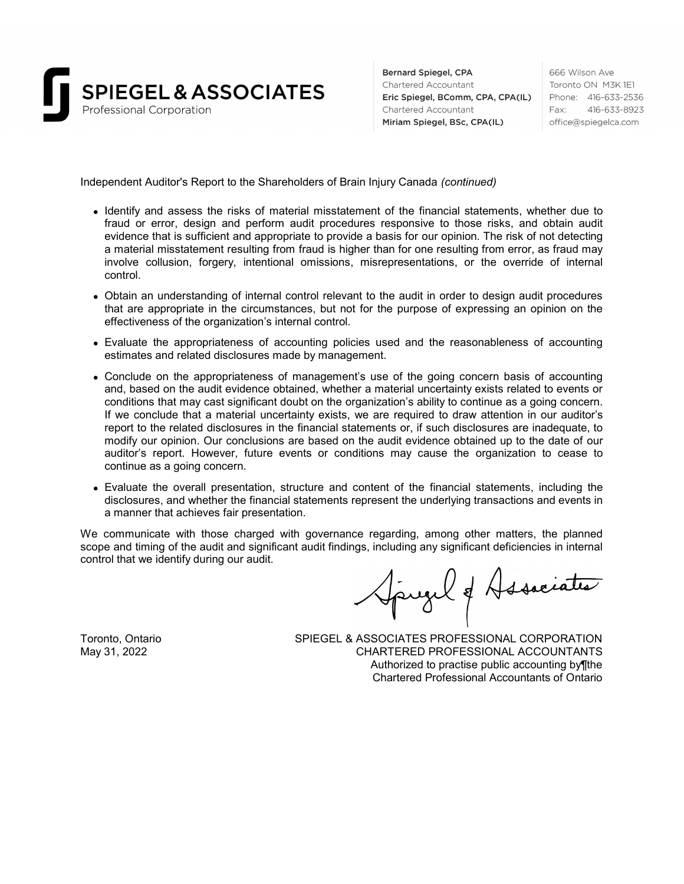

**Bernard Spiegel, CPA** Chartered Accountant Eric Spiegel, BComm, CPA, CPA(IL) Chartered Accountant Miriam Spiegel, BSc, CPA(IL)

666 Wilson Ave Toronto ON M3K 1E1 Phone: 416-633-2536 Fax: 416-633-8923 office@spiegelca.com

Independent Auditor's Report to the Shareholders of Brain Injury Canada *(continued)*

- Identify and assess the risks of material misstatement of the financial statements, whether due to fraud or error, design and perform audit procedures responsive to those risks, and obtain audit evidence that is sufficient and appropriate to provide a basis for our opinion. The risk of not detecting a material misstatement resulting from fraud is higher than for one resulting from error, as fraud may involve collusion, forgery, intentional omissions, misrepresentations, or the override of internal control.
- Obtain an understanding of internal control relevant to the audit in order to design audit procedures that are appropriate in the circumstances, but not for the purpose of expressing an opinion on the effectiveness of the organization's internal control.
- Evaluate the appropriateness of accounting policies used and the reasonableness of accounting estimates and related disclosures made by management.
- Conclude on the appropriateness of management's use of the going concern basis of accounting and, based on the audit evidence obtained, whether a material uncertainty exists related to events or conditions that may cast significant doubt on the organization's ability to continue as a going concern. If we conclude that a material uncertainty exists, we are required to draw attention in our auditor's report to the related disclosures in the financial statements or, if such disclosures are inadequate, to modify our opinion. Our conclusions are based on the audit evidence obtained up to the date of our auditor's report. However, future events or conditions may cause the organization to cease to continue as a going concern.
- Evaluate the overall presentation, structure and content of the financial statements, including the disclosures, and whether the financial statements represent the underlying transactions and events in a manner that achieves fair presentation.

We communicate with those charged with governance regarding, among other matters, the planned scope and timing of the audit and significant audit findings, including any significant deficiencies in internal control that we identify during our audit.

Spryel & Association

Toronto, Ontario SPIEGEL & ASSOCIATES PROFESSIONAL CORPORATION May 31, 2022 CHARTERED PROFESSIONAL ACCOUNTANTS Authorized to practise public accounting by¶the Chartered Professional Accountants of Ontario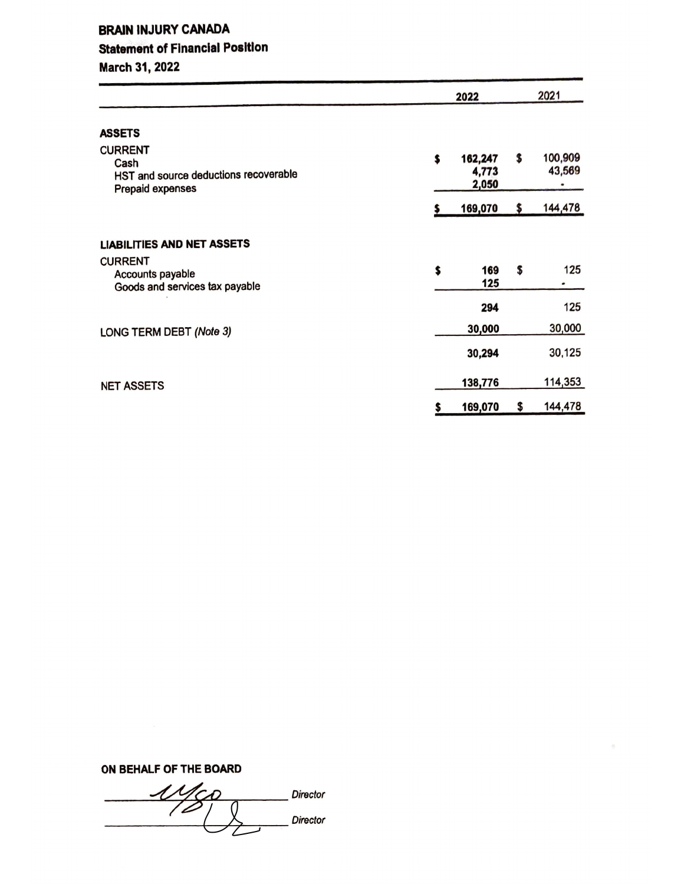# BRAIN INJURY CANADA

# Statement of FInancial Positlon

March 31, 2022

|                                                                                     | 2022 |                           |                  | 2021              |  |  |
|-------------------------------------------------------------------------------------|------|---------------------------|------------------|-------------------|--|--|
| <b>ASSETS</b>                                                                       |      |                           |                  |                   |  |  |
| <b>CURRENT</b><br>Cash<br>HST and source deductions recoverable<br>Prepaid expenses | \$   | 162,247<br>4,773<br>2,050 | \$               | 100,909<br>43,569 |  |  |
|                                                                                     |      | 169,070                   | \$               | 144,478           |  |  |
| <b>LIABILITIES AND NET ASSETS</b>                                                   |      |                           |                  |                   |  |  |
| <b>CURRENT</b><br>Accounts payable<br>Goods and services tax payable                | \$   | 169<br>125                | $\boldsymbol{s}$ | 125               |  |  |
|                                                                                     |      | 294                       |                  | 125               |  |  |
| LONG TERM DEBT (Note 3)                                                             |      | 30,000                    |                  | 30,000            |  |  |
|                                                                                     |      | 30,294                    |                  | 30,125            |  |  |
| <b>NET ASSETS</b>                                                                   |      | 138,776                   |                  | 114,353           |  |  |
|                                                                                     |      | 169,070                   | \$               | 144,478           |  |  |

ON BEHALF OF THE BOARD

 $\frac{1}{\sqrt{2}}$ **Director Director**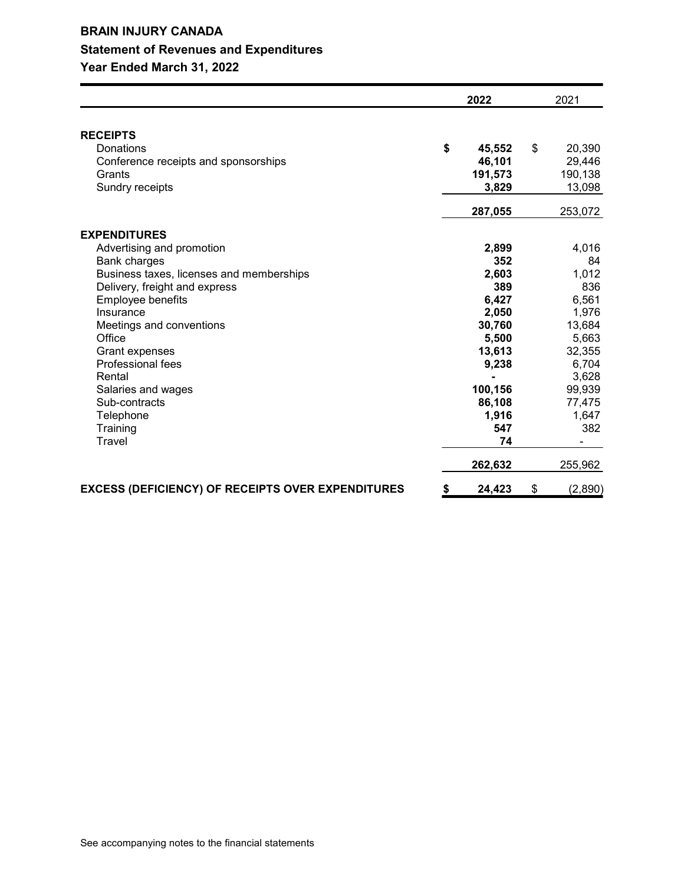# **BRAIN INJURY CANADA Statement of Revenues and Expenditures**

**Year Ended March 31, 2022**

|                                                                                                   |    | 2022                                 | 2021           |                                       |
|---------------------------------------------------------------------------------------------------|----|--------------------------------------|----------------|---------------------------------------|
| <b>RECEIPTS</b><br>Donations<br>Conference receipts and sponsorships<br>Grants<br>Sundry receipts | \$ | 45,552<br>46,101<br>191,573<br>3,829 | $\mathfrak{S}$ | 20,390<br>29,446<br>190,138<br>13,098 |
| <b>EXPENDITURES</b><br>Advertising and promotion                                                  |    | 287,055<br>2,899                     |                | 253,072<br>4,016                      |
| Bank charges<br>Business taxes, licenses and memberships<br>Delivery, freight and express         |    | 352<br>2,603<br>389                  |                | 84<br>1,012<br>836                    |
| Employee benefits<br>Insurance<br>Meetings and conventions                                        |    | 6,427<br>2,050<br>30,760             |                | 6,561<br>1,976<br>13,684              |
| Office<br><b>Grant expenses</b><br><b>Professional fees</b>                                       |    | 5,500<br>13,613<br>9,238             |                | 5,663<br>32,355<br>6,704              |
| Rental<br>Salaries and wages<br>Sub-contracts                                                     |    | 100,156<br>86,108                    |                | 3,628<br>99,939<br>77,475             |
| Telephone<br>Training<br>Travel                                                                   |    | 1,916<br>547<br>74                   |                | 1,647<br>382                          |
|                                                                                                   |    | 262,632                              |                | 255,962                               |
| <b>EXCESS (DEFICIENCY) OF RECEIPTS OVER EXPENDITURES</b>                                          | \$ | 24,423                               | \$             | (2,890)                               |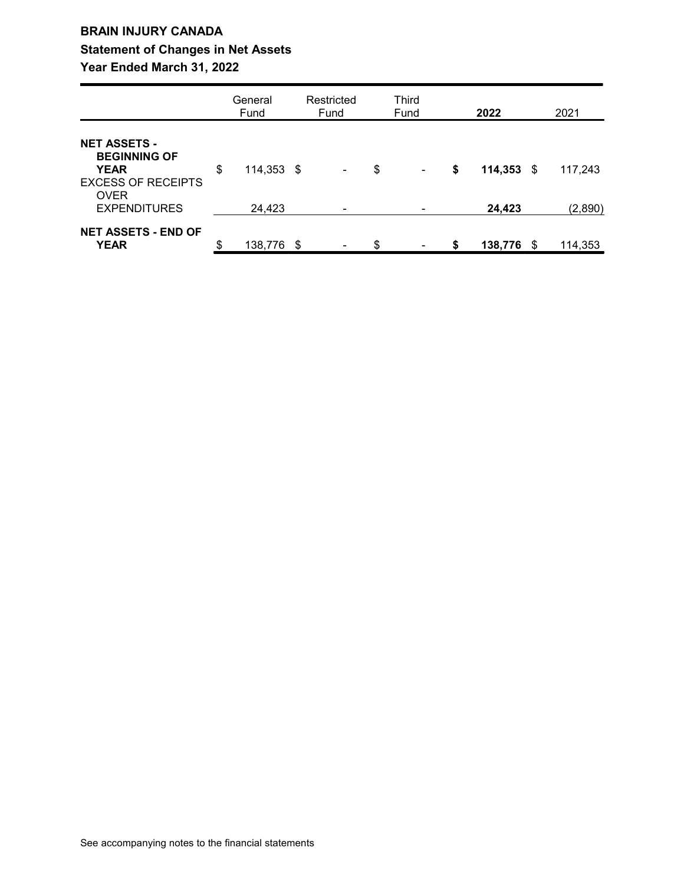### **BRAIN INJURY CANADA**

## **Statement of Changes in Net Assets**

**Year Ended March 31, 2022**

|                                                                                                                              | General<br>Fund            | Restricted<br>Fund | <b>Third</b><br>Fund           | 2022                         | 2021               |
|------------------------------------------------------------------------------------------------------------------------------|----------------------------|--------------------|--------------------------------|------------------------------|--------------------|
| <b>NET ASSETS -</b><br><b>BEGINNING OF</b><br><b>YEAR</b><br><b>EXCESS OF RECEIPTS</b><br><b>OVER</b><br><b>EXPENDITURES</b> | \$<br>114,353 \$<br>24,423 | ۰                  | \$<br>$\overline{\phantom{a}}$ | \$<br>$114,353$ \$<br>24,423 | 117,243<br>(2,890) |
| <b>NET ASSETS - END OF</b><br><b>YEAR</b>                                                                                    | \$<br>138,776 \$           |                    | \$                             | \$<br>138,776 \$             | 114,353            |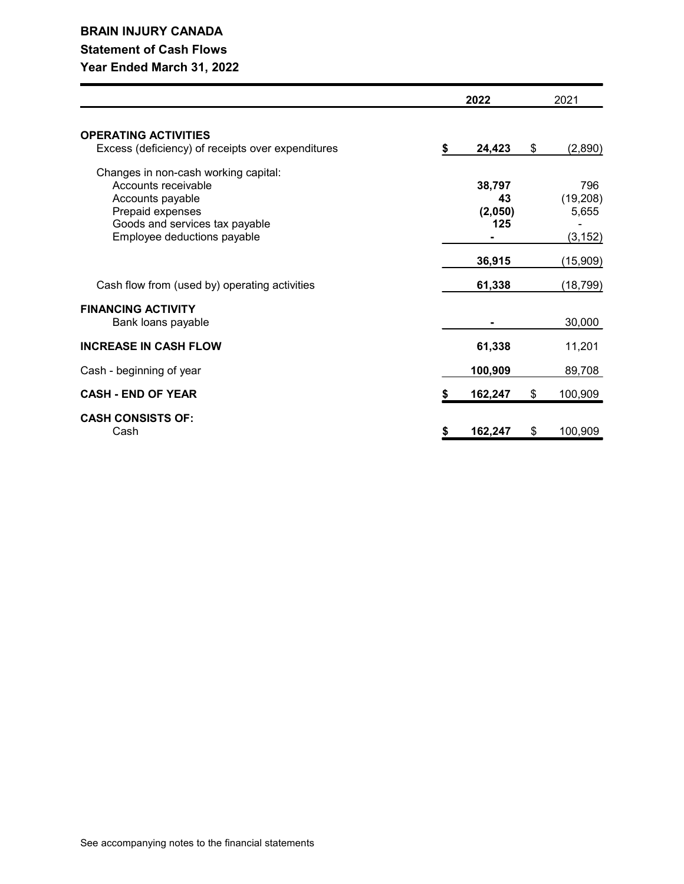### **BRAIN INJURY CANADA**

### **Statement of Cash Flows**

### **Year Ended March 31, 2022**

|                                                                                                                                                                      | 2022 |                                |    | 2021                                  |  |  |
|----------------------------------------------------------------------------------------------------------------------------------------------------------------------|------|--------------------------------|----|---------------------------------------|--|--|
| <b>OPERATING ACTIVITIES</b><br>Excess (deficiency) of receipts over expenditures                                                                                     | \$   | 24,423                         | \$ | (2,890)                               |  |  |
| Changes in non-cash working capital:<br>Accounts receivable<br>Accounts payable<br>Prepaid expenses<br>Goods and services tax payable<br>Employee deductions payable |      | 38,797<br>43<br>(2,050)<br>125 |    | 796<br>(19, 208)<br>5,655<br>(3, 152) |  |  |
| Cash flow from (used by) operating activities                                                                                                                        |      | 36,915<br>61,338               |    | (15,909)<br>(18, 799)                 |  |  |
| <b>FINANCING ACTIVITY</b><br>Bank loans payable                                                                                                                      |      |                                |    | 30,000                                |  |  |
| <b>INCREASE IN CASH FLOW</b>                                                                                                                                         |      | 61,338                         |    | 11,201                                |  |  |
| Cash - beginning of year                                                                                                                                             |      | 100,909                        |    | 89,708                                |  |  |
| <b>CASH - END OF YEAR</b>                                                                                                                                            |      | 162,247                        | \$ | 100,909                               |  |  |
| <b>CASH CONSISTS OF:</b><br>Cash                                                                                                                                     | \$   | 162,247                        | \$ | 100,909                               |  |  |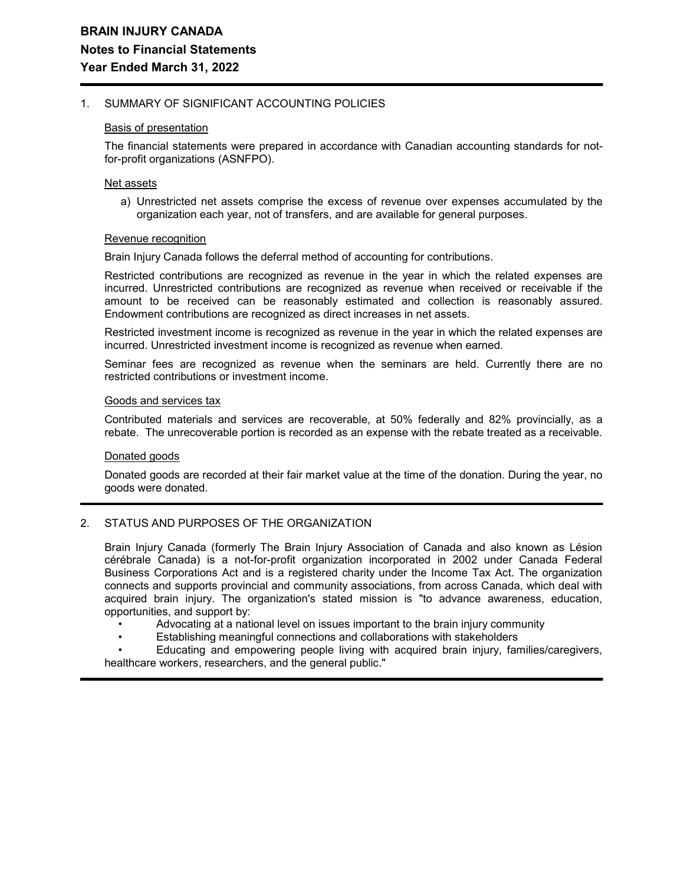### 1. SUMMARY OF SIGNIFICANT ACCOUNTING POLICIES

#### Basis of presentation

The financial statements were prepared in accordance with Canadian accounting standards for notfor-profit organizations (ASNFPO).

### Net assets

a) Unrestricted net assets comprise the excess of revenue over expenses accumulated by the organization each year, not of transfers, and are available for general purposes.

#### Revenue recognition

Brain Injury Canada follows the deferral method of accounting for contributions.

Restricted contributions are recognized as revenue in the year in which the related expenses are incurred. Unrestricted contributions are recognized as revenue when received or receivable if the amount to be received can be reasonably estimated and collection is reasonably assured. Endowment contributions are recognized as direct increases in net assets.

Restricted investment income is recognized as revenue in the year in which the related expenses are incurred. Unrestricted investment income is recognized as revenue when earned.

Seminar fees are recognized as revenue when the seminars are held. Currently there are no restricted contributions or investment income.

#### Goods and services tax

Contributed materials and services are recoverable, at 50% federally and 82% provincially, as a rebate. The unrecoverable portion is recorded as an expense with the rebate treated as a receivable.

### Donated goods

Donated goods are recorded at their fair market value at the time of the donation. During the year, no goods were donated.

### 2. STATUS AND PURPOSES OF THE ORGANIZATION

Brain Injury Canada (formerly The Brain Injury Association of Canada and also known as Lésion cérébrale Canada) is a not-for-profit organization incorporated in 2002 under Canada Federal Business Corporations Act and is a registered charity under the Income Tax Act. The organization connects and supports provincial and community associations, from across Canada, which deal with acquired brain injury. The organization's stated mission is "to advance awareness, education, opportunities, and support by:

- Advocating at a national level on issues important to the brain injury community
- Establishing meaningful connections and collaborations with stakeholders

• Educating and empowering people living with acquired brain injury, families/caregivers, healthcare workers, researchers, and the general public."